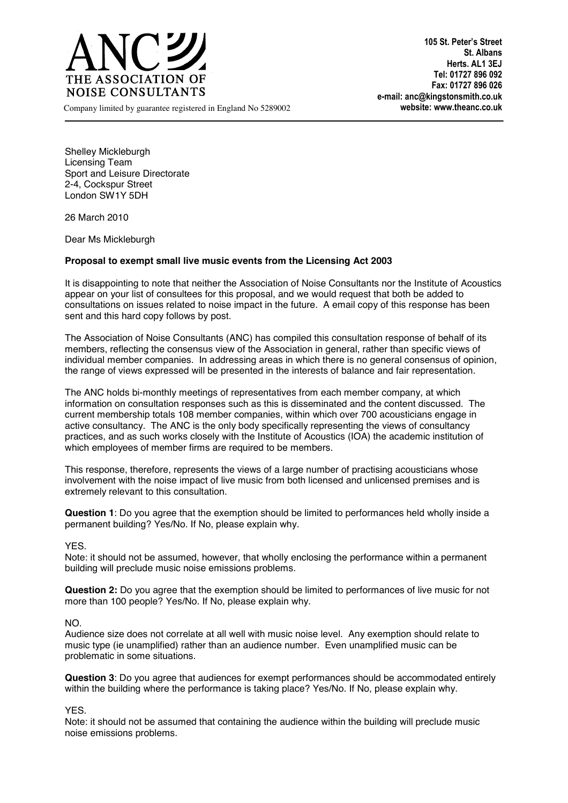

105 St. Peter's Street St Albans Herts. AL1 3EJ Tel: 01727 896 092 Fax: 01727 896 026 e-mail: anc@kingstonsmith.co.uk

Company limited by guarantee registered in England No 5289002 **State 10 and 10 years and No 5289002** Website: www.theanc.co.uk

Shelley Mickleburgh Licensing Team Sport and Leisure Directorate 2-4, Cockspur Street London SW1Y 5DH

26 March 2010

Dear Ms Mickleburgh

### **Proposal to exempt small live music events from the Licensing Act 2003**

It is disappointing to note that neither the Association of Noise Consultants nor the Institute of Acoustics appear on your list of consultees for this proposal, and we would request that both be added to consultations on issues related to noise impact in the future. A email copy of this response has been sent and this hard copy follows by post.

The Association of Noise Consultants (ANC) has compiled this consultation response of behalf of its members, reflecting the consensus view of the Association in general, rather than specific views of individual member companies. In addressing areas in which there is no general consensus of opinion, the range of views expressed will be presented in the interests of balance and fair representation.

The ANC holds bi-monthly meetings of representatives from each member company, at which information on consultation responses such as this is disseminated and the content discussed. The current membership totals 108 member companies, within which over 700 acousticians engage in active consultancy. The ANC is the only body specifically representing the views of consultancy practices, and as such works closely with the Institute of Acoustics (IOA) the academic institution of which employees of member firms are required to be members.

This response, therefore, represents the views of a large number of practising acousticians whose involvement with the noise impact of live music from both licensed and unlicensed premises and is extremely relevant to this consultation.

**Question 1**: Do you agree that the exemption should be limited to performances held wholly inside a permanent building? Yes/No. If No, please explain why.

#### YES.

Note: it should not be assumed, however, that wholly enclosing the performance within a permanent building will preclude music noise emissions problems.

**Question 2:** Do you agree that the exemption should be limited to performances of live music for not more than 100 people? Yes/No. If No, please explain why.

#### NO.

Audience size does not correlate at all well with music noise level. Any exemption should relate to music type (ie unamplified) rather than an audience number. Even unamplified music can be problematic in some situations.

**Question 3**: Do you agree that audiences for exempt performances should be accommodated entirely within the building where the performance is taking place? Yes/No. If No, please explain why.

YES.

Note: it should not be assumed that containing the audience within the building will preclude music noise emissions problems.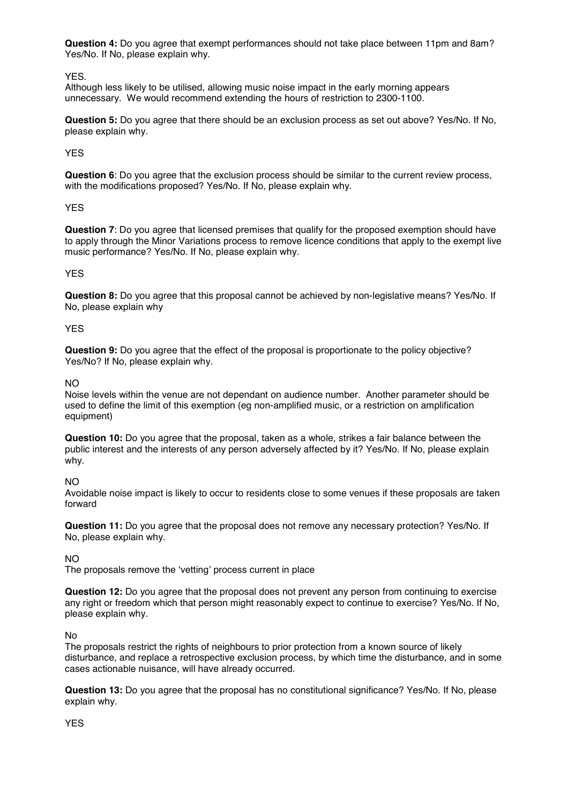**Question 4:** Do you agree that exempt performances should not take place between 11pm and 8am? Yes/No. If No, please explain why.

YES.

Although less likely to be utilised, allowing music noise impact in the early morning appears unnecessary. We would recommend extending the hours of restriction to 2300-1100.

**Question 5:** Do you agree that there should be an exclusion process as set out above? Yes/No. If No, please explain why.

YES

**Question 6**: Do you agree that the exclusion process should be similar to the current review process, with the modifications proposed? Yes/No. If No, please explain why.

YES

**Question 7**: Do you agree that licensed premises that qualify for the proposed exemption should have to apply through the Minor Variations process to remove licence conditions that apply to the exempt live music performance? Yes/No. If No, please explain why.

# YES

**Question 8:** Do you agree that this proposal cannot be achieved by non-legislative means? Yes/No. If No, please explain why

## YES

**Question 9:** Do you agree that the effect of the proposal is proportionate to the policy objective? Yes/No? If No, please explain why.

## NO

Noise levels within the venue are not dependant on audience number. Another parameter should be used to define the limit of this exemption (eg non-amplified music, or a restriction on amplification equipment)

**Question 10:** Do you agree that the proposal, taken as a whole, strikes a fair balance between the public interest and the interests of any person adversely affected by it? Yes/No. If No, please explain why.

NO

Avoidable noise impact is likely to occur to residents close to some venues if these proposals are taken forward

**Question 11:** Do you agree that the proposal does not remove any necessary protection? Yes/No. If No, please explain why.

NO

The proposals remove the 'vetting' process current in place

**Question 12:** Do you agree that the proposal does not prevent any person from continuing to exercise any right or freedom which that person might reasonably expect to continue to exercise? Yes/No. If No, please explain why.

No

The proposals restrict the rights of neighbours to prior protection from a known source of likely disturbance, and replace a retrospective exclusion process, by which time the disturbance, and in some cases actionable nuisance, will have already occurred.

**Question 13:** Do you agree that the proposal has no constitutional significance? Yes/No. If No, please explain why.

YES